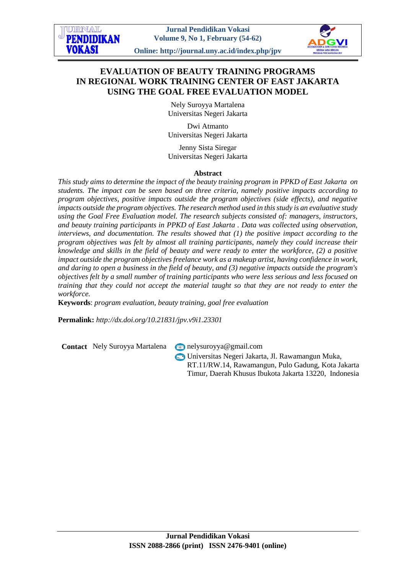# **EVALUATION OF BEAUTY TRAINING PROGRAMS IN REGIONAL WORK TRAINING CENTER OF EAST JAKARTA USING THE GOAL FREE EVALUATION MODEL**

Nely Suroyya Martalena Universitas Negeri Jakarta

Dwi Atmanto Universitas Negeri Jakarta

Jenny Sista Siregar Universitas Negeri Jakarta

#### **Abstract**

*This study aims to determine the impact of the beauty training program in PPKD of East Jakarta on students. The impact can be seen based on three criteria, namely positive impacts according to program objectives, positive impacts outside the program objectives (side effects), and negative impacts outside the program objectives. The research method used in this study is an evaluative study using the Goal Free Evaluation model. The research subjects consisted of: managers, instructors, and beauty training participants in PPKD of East Jakarta . Data was collected using observation, interviews, and documentation. The results showed that (1) the positive impact according to the program objectives was felt by almost all training participants, namely they could increase their knowledge and skills in the field of beauty and were ready to enter the workforce, (2) a positive impact outside the program objectives freelance work as a makeup artist, having confidence in work, and daring to open a business in the field of beauty, and (3) negative impacts outside the program's objectives felt by a small number of training participants who were less serious and less focused on training that they could not accept the material taught so that they are not ready to enter the workforce.*

**Keywords**: *program evaluation, beauty training, goal free evaluation*

**Permalink:** *http://dx.doi.org/10.21831/jpv.v9i1.23301*

Contact Nely Suroyya Martalena **nelysuroyya@gmail.com** 

Universitas Negeri Jakarta, Jl. Rawamangun Muka, RT.11/RW.14, Rawamangun, Pulo Gadung, Kota Jakarta Timur, Daerah Khusus Ibukota Jakarta 13220, Indonesia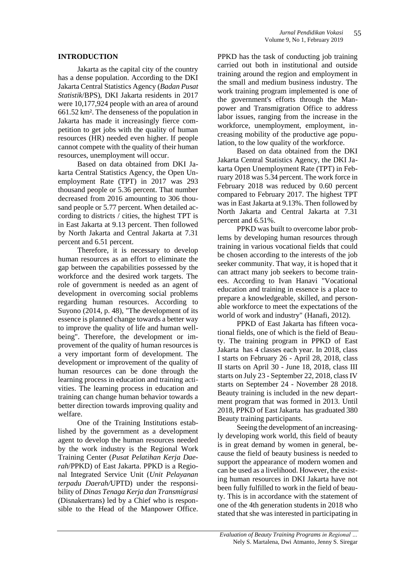#### **INTRODUCTION**

Jakarta as the capital city of the country has a dense population. According to the DKI Jakarta Central Statistics Agency (*Badan Pusat Statistik*/BPS), DKI Jakarta residents in 2017 were 10,177,924 people with an area of around 661.52 km². The denseness of the population in Jakarta has made it increasingly fierce competition to get jobs with the quality of human resources (HR) needed even higher. If people cannot compete with the quality of their human resources, unemployment will occur.

Based on data obtained from DKI Jakarta Central Statistics Agency, the Open Unemployment Rate (TPT) in 2017 was 293 thousand people or 5.36 percent. That number decreased from 2016 amounting to 306 thousand people or 5.77 percent. When detailed according to districts / cities, the highest TPT is in East Jakarta at 9.13 percent. Then followed by North Jakarta and Central Jakarta at 7.31 percent and 6.51 percent.

Therefore, it is necessary to develop human resources as an effort to eliminate the gap between the capabilities possessed by the workforce and the desired work targets. The role of government is needed as an agent of development in overcoming social problems regarding human resources. According to Suyono (2014, p. 48), "The development of its essence is planned change towards a better way to improve the quality of life and human wellbeing". Therefore, the development or improvement of the quality of human resources is a very important form of development. The development or improvement of the quality of human resources can be done through the learning process in education and training activities. The learning process in education and training can change human behavior towards a better direction towards improving quality and welfare.

One of the Training Institutions established by the government as a development agent to develop the human resources needed by the work industry is the Regional Work Training Center (*Pusat Pelatihan Kerja Daerah*/PPKD) of East Jakarta. PPKD is a Regional Integrated Service Unit (*Unit Pelayanan terpadu Daerah/*UPTD) under the responsibility of *Dinas Tenaga Kerja dan Transmigrasi* (Disnakertrans) led by a Chief who is responsible to the Head of the Manpower Office. PPKD has the task of conducting job training carried out both in institutional and outside training around the region and employment in the small and medium business industry. The work training program implemented is one of the government's efforts through the Manpower and Transmigration Office to address labor issues, ranging from the increase in the workforce, unemployment, employment, increasing mobility of the productive age population, to the low quality of the workforce.

Based on data obtained from the DKI Jakarta Central Statistics Agency, the DKI Jakarta Open Unemployment Rate (TPT) in February 2018 was 5.34 percent. The work force in February 2018 was reduced by 0.60 percent compared to February 2017. The highest TPT was in East Jakarta at 9.13%. Then followed by North Jakarta and Central Jakarta at 7.31 percent and 6.51%.

PPKD was built to overcome labor problems by developing human resources through training in various vocational fields that could be chosen according to the interests of the job seeker community. That way, it is hoped that it can attract many job seekers to become trainees. According to Ivan Hanavi "Vocational education and training in essence is a place to prepare a knowledgeable, skilled, and personable workforce to meet the expectations of the world of work and industry" (Hanafi, 2012).

PPKD of East Jakarta has fifteen vocational fields, one of which is the field of Beauty. The training program in PPKD of East Jakarta has 4 classes each year. In 2018, class I starts on February 26 - April 28, 2018, class II starts on April 30 - June 18, 2018, class III starts on July 23 - September 22, 2018, class IV starts on September 24 - November 28 2018. Beauty training is included in the new department program that was formed in 2013. Until 2018, PPKD of East Jakarta has graduated 380 Beauty training participants.

Seeing the development of an increasingly developing work world, this field of beauty is in great demand by women in general, because the field of beauty business is needed to support the appearance of modern women and can be used as a livelihood. However, the existing human resources in DKI Jakarta have not been fully fulfilled to work in the field of beauty. This is in accordance with the statement of one of the 4th generation students in 2018 who stated that she was interested in participating in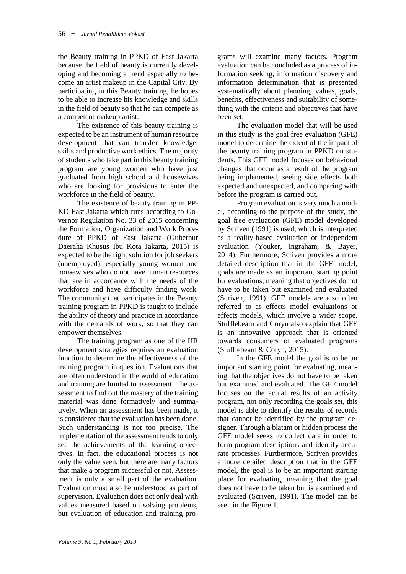the Beauty training in PPKD of East Jakarta because the field of beauty is currently developing and becoming a trend especially to become an artist makeup in the Capital City. By participating in this Beauty training, he hopes to be able to increase his knowledge and skills in the field of beauty so that he can compete as a competent makeup artist.

The existence of this beauty training is expected to be an instrument of human resource development that can transfer knowledge, skills and productive work ethics. The majority of students who take part in this beauty training program are young women who have just graduated from high school and housewives who are looking for provisions to enter the workforce in the field of beauty.

The existence of beauty training in PP-KD East Jakarta which runs according to Governor Regulation No. 33 of 2015 concerning the Formation, Organization and Work Procedure of PPKD of East Jakarta (Gubernur Daeraha Khusus Ibu Kota Jakarta, 2015) is expected to be the right solution for job seekers (unemployed), especially young women and housewives who do not have human resources that are in accordance with the needs of the workforce and have difficulty finding work. The community that participates in the Beauty training program in PPKD is taught to include the ability of theory and practice in accordance with the demands of work, so that they can empower themselves.

The training program as one of the HR development strategies requires an evaluation function to determine the effectiveness of the training program in question. Evaluations that are often understood in the world of education and training are limited to assessment. The assessment to find out the mastery of the training material was done formatively and summatively. When an assessment has been made, it is considered that the evaluation has been done. Such understanding is not too precise. The implementation of the assessment tends to only see the achievements of the learning objectives. In fact, the educational process is not only the value seen, but there are many factors that make a program successful or not. Assessment is only a small part of the evaluation. Evaluation must also be understood as part of supervision. Evaluation does not only deal with values measured based on solving problems, but evaluation of education and training programs will examine many factors. Program evaluation can be concluded as a process of information seeking, information discovery and information determination that is presented systematically about planning, values, goals, benefits, effectiveness and suitability of something with the criteria and objectives that have been set.

The evaluation model that will be used in this study is the goal free evaluation (GFE) model to determine the extent of the impact of the beauty training program in PPKD on students. This GFE model focuses on behavioral changes that occur as a result of the program being implemented, seeing side effects both expected and unexpected, and comparing with before the program is carried out.

Program evaluation is very much a model, according to the purpose of the study, the goal free evaluation (GFE) model developed by Scriven (1991) is used, which is interpreted as a reality-based evaluation or independent evaluation (Youker, Ingraham, & Bayer, 2014). Furthermore, Scriven provides a more detailed description that in the GFE model, goals are made as an important starting point for evaluations, meaning that objectives do not have to be taken but examined and evaluated (Scriven, 1991). GFE models are also often referred to as effects model evaluations or effects models, which involve a wider scope. Stufflebeam and Coryn also explain that GFE is an innovative approach that is oriented towards consumers of evaluated programs (Stufflebeam & Coryn, 2015).

In the GFE model the goal is to be an important starting point for evaluating, meaning that the objectives do not have to be taken but examined and evaluated. The GFE model focuses on the actual results of an activity program, not only recording the goals set, this model is able to identify the results of records that cannot be identified by the program designer. Through a blatant or hidden process the GFE model seeks to collect data in order to form program descriptions and identify accurate processes. Furthermore, Scriven provides a more detailed description that in the GFE model, the goal is to be an important starting place for evaluating, meaning that the goal does not have to be taken but is examined and evaluated (Scriven, 1991). The model can be seen in the Figure 1.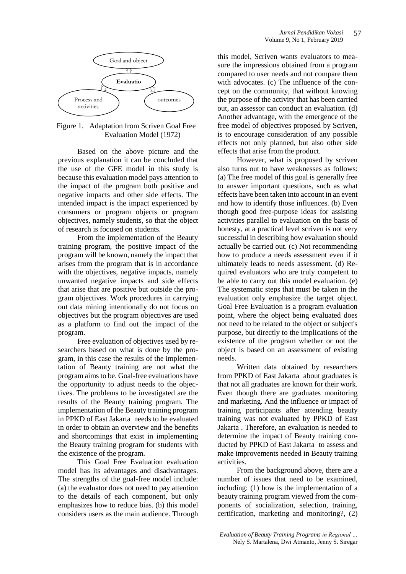

Figure 1. Adaptation from Scriven Goal Free Evaluation Model (1972)

Based on the above picture and the previous explanation it can be concluded that the use of the GFE model in this study is because this evaluation model pays attention to the impact of the program both positive and negative impacts and other side effects. The intended impact is the impact experienced by consumers or program objects or program objectives, namely students, so that the object of research is focused on students.

From the implementation of the Beauty training program, the positive impact of the program will be known, namely the impact that arises from the program that is in accordance with the objectives, negative impacts, namely unwanted negative impacts and side effects that arise that are positive but outside the program objectives. Work procedures in carrying out data mining intentionally do not focus on objectives but the program objectives are used as a platform to find out the impact of the program.

Free evaluation of objectives used by researchers based on what is done by the program, in this case the results of the implementation of Beauty training are not what the program aims to be. Goal-free evaluations have the opportunity to adjust needs to the objectives. The problems to be investigated are the results of the Beauty training program. The implementation of the Beauty training program in PPKD of East Jakarta needs to be evaluated in order to obtain an overview and the benefits and shortcomings that exist in implementing the Beauty training program for students with the existence of the program.

This Goal Free Evaluation evaluation model has its advantages and disadvantages. The strengths of the goal-free model include: (a) the evaluator does not need to pay attention to the details of each component, but only emphasizes how to reduce bias. (b) this model considers users as the main audience. Through

this model, Scriven wants evaluators to measure the impressions obtained from a program compared to user needs and not compare them with advocates. (c) The influence of the concept on the community, that without knowing the purpose of the activity that has been carried out, an assessor can conduct an evaluation. (d) Another advantage, with the emergence of the free model of objectives proposed by Scriven, is to encourage consideration of any possible effects not only planned, but also other side effects that arise from the product.

However, what is proposed by scriven also turns out to have weaknesses as follows: (a) The free model of this goal is generally free to answer important questions, such as what effects have been taken into account in an event and how to identify those influences. (b) Even though good free-purpose ideas for assisting activities parallel to evaluation on the basis of honesty, at a practical level scriven is not very successful in describing how evaluation should actually be carried out. (c) Not recommending how to produce a needs assessment even if it ultimately leads to needs assessment. (d) Required evaluators who are truly competent to be able to carry out this model evaluation. (e) The systematic steps that must be taken in the evaluation only emphasize the target object. Goal Free Evaluation is a program evaluation point, where the object being evaluated does not need to be related to the object or subject's purpose, but directly to the implications of the existence of the program whether or not the object is based on an assessment of existing needs.

Written data obtained by researchers from PPKD of East Jakarta about graduates is that not all graduates are known for their work. Even though there are graduates monitoring and marketing. And the influence or impact of training participants after attending beauty training was not evaluated by PPKD of East Jakarta . Therefore, an evaluation is needed to determine the impact of Beauty training conducted by PPKD of East Jakarta to assess and make improvements needed in Beauty training activities.

From the background above, there are a number of issues that need to be examined, including: (1) how is the implementation of a beauty training program viewed from the components of socialization, selection, training, certification, marketing and monitoring?, (2)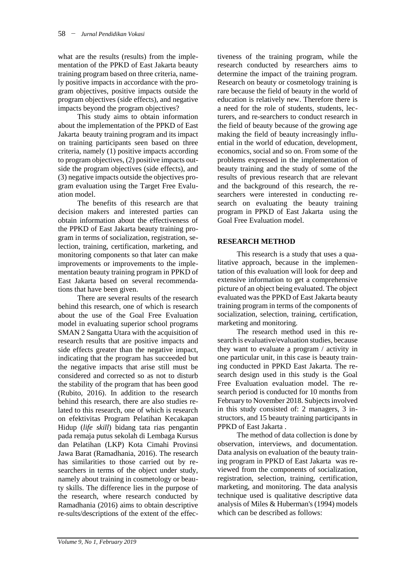what are the results (results) from the implementation of the PPKD of East Jakarta beauty training program based on three criteria, namely positive impacts in accordance with the program objectives, positive impacts outside the program objectives (side effects), and negative impacts beyond the program objectives?

This study aims to obtain information about the implementation of the PPKD of East Jakarta beauty training program and its impact on training participants seen based on three criteria, namely (1) positive impacts according to program objectives, (2) positive impacts outside the program objectives (side effects), and (3) negative impacts outside the objectives program evaluation using the Target Free Evaluation model.

The benefits of this research are that decision makers and interested parties can obtain information about the effectiveness of the PPKD of East Jakarta beauty training program in terms of socialization, registration, selection, training, certification, marketing, and monitoring components so that later can make improvements or improvements to the implementation beauty training program in PPKD of East Jakarta based on several recommendations that have been given.

There are several results of the research behind this research, one of which is research about the use of the Goal Free Evaluation model in evaluating superior school programs SMAN 2 Sangatta Utara with the acquisition of research results that are positive impacts and side effects greater than the negative impact, indicating that the program has succeeded but the negative impacts that arise still must be considered and corrected so as not to disturb the stability of the program that has been good (Rubito, 2016). In addition to the research behind this research, there are also studies related to this research, one of which is research on efektivitas Program Pelatihan Kecakapan Hidup (*life skill*) bidang tata rias pengantin pada remaja putus sekolah di Lembaga Kursus dan Pelatihan (LKP) Kota Cimahi Provinsi Jawa Barat (Ramadhania, 2016). The research has similarities to those carried out by researchers in terms of the object under study, namely about training in cosmetology or beauty skills. The difference lies in the purpose of the research, where research conducted by Ramadhania (2016) aims to obtain descriptive re-sults/descriptions of the extent of the effec-

tiveness of the training program, while the research conducted by researchers aims to determine the impact of the training program. Research on beauty or cosmetology training is rare because the field of beauty in the world of education is relatively new. Therefore there is a need for the role of students, students, lecturers, and re-searchers to conduct research in the field of beauty because of the growing age making the field of beauty increasingly influential in the world of education, development, economics, social and so on. From some of the problems expressed in the implementation of beauty training and the study of some of the results of previous research that are relevant and the background of this research, the researchers were interested in conducting research on evaluating the beauty training program in PPKD of East Jakarta using the Goal Free Evaluation model.

## **RESEARCH METHOD**

This research is a study that uses a qualitative approach, because in the implementation of this evaluation will look for deep and extensive information to get a comprehensive picture of an object being evaluated. The object evaluated was the PPKD of East Jakarta beauty training program in terms of the components of socialization, selection, training, certification, marketing and monitoring.

The research method used in this research is evaluative/evaluation studies, because they want to evaluate a program / activity in one particular unit, in this case is beauty training conducted in PPKD East Jakarta. The research design used in this study is the Goal Free Evaluation evaluation model. The research period is conducted for 10 months from February to November 2018. Subjects involved in this study consisted of: 2 managers, 3 instructors, and 15 beauty training participants in PPKD of East Jakarta .

The method of data collection is done by observation, interviews, and documentation. Data analysis on evaluation of the beauty training program in PPKD of East Jakarta was reviewed from the components of socialization, registration, selection, training, certification, marketing, and monitoring. The data analysis technique used is qualitative descriptive data analysis of Miles & Huberman's (1994) models which can be described as follows: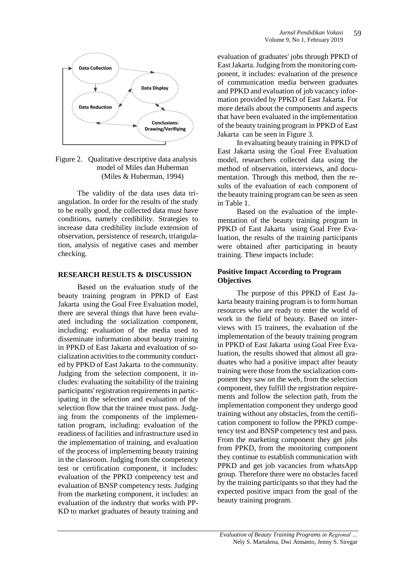



The validity of the data uses data triangulation. In order for the results of the study to be really good, the collected data must have conditions, namely credibility. Strategies to increase data credibility include extension of observation, persistence of research, triangulation, analysis of negative cases and member checking.

#### **RESEARCH RESULTS & DISCUSSION**

Based on the evaluation study of the beauty training program in PPKD of East Jakarta using the Goal Free Evaluation model, there are several things that have been evaluated including the socialization component, including: evaluation of the media used to disseminate information about beauty training in PPKD of East Jakarta and evaluation of socialization activities to the community conducted by PPKD of East Jakarta to the community. Judging from the selection component, it includes: evaluating the suitability of the training participants' registration requirements in participating in the selection and evaluation of the selection flow that the trainee must pass. Judging from the components of the implementation program, including: evaluation of the readiness of facilities and infrastructure used in the implementation of training, and evaluation of the process of implementing beauty training in the classroom. Judging from the competency test or certification component, it includes: evaluation of the PPKD competency test and evaluation of BNSP competency tests. Judging from the marketing component, it includes: an evaluation of the industry that works with PP-KD to market graduates of beauty training and

evaluation of graduates' jobs through PPKD of EastJakarta.Judging from the monitoring component, it includes: evaluation of the presence of communication media between graduates and PPKD and evaluation of job vacancy information provided by PPKD of East Jakarta. For more details about the components and aspects that have been evaluated in the implementation of the beauty training program in PPKD of East Jakarta can be seen in Figure 3.

In evaluating beauty training in PPKD of East Jakarta using the Goal Free Evaluation model, researchers collected data using the method of observation, interviews, and documentation. Through this method, then the results of the evaluation of each component of the beauty training program can be seen as seen in Table 1.

Based on the evaluation of the implementation of the beauty training program in PPKD of East Jakarta using Goal Free Evaluation, the results of the training participants were obtained after participating in beauty training. These impacts include:

### **Positive Impact According to Program Objectives**

The purpose of this PPKD of East Jakarta beauty training program is to form human resources who are ready to enter the world of work in the field of beauty. Based on interviews with 15 trainees, the evaluation of the implementation of the beauty training program in PPKD of East Jakarta using Goal Free Evaluation, the results showed that almost all graduates who had a positive impact after beauty training were those from the socialization component they saw on the web, from the selection component, they fulfill the registration requirements and follow the selection path, from the implementation component they undergo good training without any obstacles, from the certification component to follow the PPKD competency test and BNSP competency test and pass. From the marketing component they get jobs from PPKD, from the monitoring component they continue to establish communication with PPKD and get job vacancies from whatsApp group. Therefore there were no obstacles faced by the training participants so that they had the expected positive impact from the goal of the beauty training program.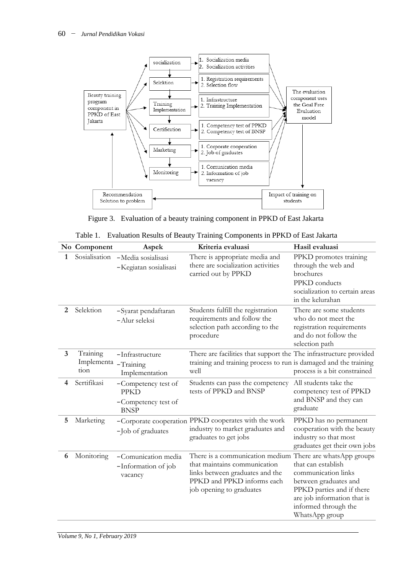

Figure 3. Evaluation of a beauty training component in PPKD of East Jakarta

|                         | No Component                   | Aspek                                                                    | Kriteria evaluasi                                                                                                                                                                      | Hasil evaluasi                                                                                                                                                           |
|-------------------------|--------------------------------|--------------------------------------------------------------------------|----------------------------------------------------------------------------------------------------------------------------------------------------------------------------------------|--------------------------------------------------------------------------------------------------------------------------------------------------------------------------|
| $\mathbf{1}$            |                                | Sosialisation -Media sosialisasi<br>-Kegiatan sosialisasi                | There is appropriate media and<br>there are socialization activities<br>carried out by PPKD                                                                                            | PPKD promotes training<br>through the web and<br>brochures<br>PPKD conducts<br>socialization to certain areas<br>in the kelurahan                                        |
| $\overline{2}$          | Selektion                      | -Syarat pendaftaran<br>-Alur seleksi                                     | Students fulfill the registration<br>requirements and follow the<br>selection path according to the<br>procedure                                                                       | There are some students<br>who do not meet the<br>registration requirements<br>and do not follow the<br>selection path                                                   |
| 3                       | Training<br>Implementa<br>tion | -Infrastructure<br>-Training<br>Implementation                           | There are facilities that support the The infrastructure provided<br>training and training process to run is damaged and the training<br>well                                          | process is a bit constrained                                                                                                                                             |
| $\overline{\mathbf{4}}$ | Sertifikasi                    | -Competency test of<br><b>PPKD</b><br>-Competency test of<br><b>BNSP</b> | Students can pass the competency<br>tests of PPKD and BNSP                                                                                                                             | All students take the<br>competency test of PPKD<br>and BNSP and they can<br>graduate                                                                                    |
| 5                       | Marketing                      | -Job of graduates                                                        | -Corporate cooperation PPKD cooperates with the work<br>industry to market graduates and<br>graduates to get jobs                                                                      | PPKD has no permanent<br>cooperation with the beauty<br>industry so that most<br>graduates get their own jobs                                                            |
| 6                       | Monitoring                     | -Comunication media<br>-Information of job<br>vacancy                    | There is a communication medium There are whatsApp groups<br>that maintains communication<br>links between graduates and the<br>PPKD and PPKD informs each<br>job opening to graduates | that can establish<br>communication links<br>between graduates and<br>PPKD parties and if there<br>are job information that is<br>informed through the<br>WhatsApp group |

|  |  |  |  |  | Table 1. Evaluation Results of Beauty Training Components in PPKD of East Jakarta |  |  |  |
|--|--|--|--|--|-----------------------------------------------------------------------------------|--|--|--|
|--|--|--|--|--|-----------------------------------------------------------------------------------|--|--|--|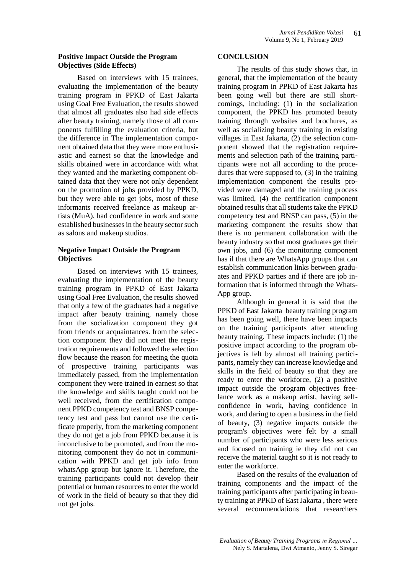### **Positive Impact Outside the Program Objectives (Side Effects)**

Based on interviews with 15 trainees, evaluating the implementation of the beauty training program in PPKD of East Jakarta using Goal Free Evaluation, the results showed that almost all graduates also had side effects after beauty training, namely those of all components fulfilling the evaluation criteria, but the difference in The implementation component obtained data that they were more enthusiastic and earnest so that the knowledge and skills obtained were in accordance with what they wanted and the marketing component obtained data that they were not only dependent on the promotion of jobs provided by PPKD, but they were able to get jobs, most of these informants received freelance as makeup artists (MuA), had confidence in work and some established businesses in the beauty sector such as salons and makeup studios.

### **Negative Impact Outside the Program Objectives**

Based on interviews with 15 trainees, evaluating the implementation of the beauty training program in PPKD of East Jakarta using Goal Free Evaluation, the results showed that only a few of the graduates had a negative impact after beauty training, namely those from the socialization component they got from friends or acquaintances. from the selection component they did not meet the registration requirements and followed the selection flow because the reason for meeting the quota of prospective training participants was immediately passed, from the implementation component they were trained in earnest so that the knowledge and skills taught could not be well received, from the certification component PPKD competency test and BNSP competency test and pass but cannot use the certificate properly, from the marketing component they do not get a job from PPKD because it is inconclusive to be promoted, and from the monitoring component they do not in communication with PPKD and get job info from whatsApp group but ignore it. Therefore, the training participants could not develop their potential or human resources to enter the world of work in the field of beauty so that they did not get jobs.

#### **CONCLUSION**

The results of this study shows that, in general, that the implementation of the beauty training program in PPKD of East Jakarta has been going well but there are still shortcomings, including: (1) in the socialization component, the PPKD has promoted beauty training through websites and brochures, as well as socializing beauty training in existing villages in East Jakarta, (2) the selection component showed that the registration requirements and selection path of the training participants were not all according to the procedures that were supposed to, (3) in the training implementation component the results provided were damaged and the training process was limited, (4) the certification component obtained results that all students take the PPKD competency test and BNSP can pass, (5) in the marketing component the results show that there is no permanent collaboration with the beauty industry so that most graduates get their own jobs, and (6) the monitoring component has il that there are WhatsApp groups that can establish communication links between graduates and PPKD parties and if there are job information that is informed through the Whats-App group.

Although in general it is said that the PPKD of East Jakarta beauty training program has been going well, there have been impacts on the training participants after attending beauty training. These impacts include: (1) the positive impact according to the program objectives is felt by almost all training participants, namely they can increase knowledge and skills in the field of beauty so that they are ready to enter the workforce, (2) a positive impact outside the program objectives freelance work as a makeup artist, having selfconfidence in work, having confidence in work, and daring to open a business in the field of beauty, (3) negative impacts outside the program's objectives were felt by a small number of participants who were less serious and focused on training ie they did not can receive the material taught so it is not ready to enter the workforce.

Based on the results of the evaluation of training components and the impact of the training participants after participating in beauty training at PPKD of East Jakarta , there were several recommendations that researchers